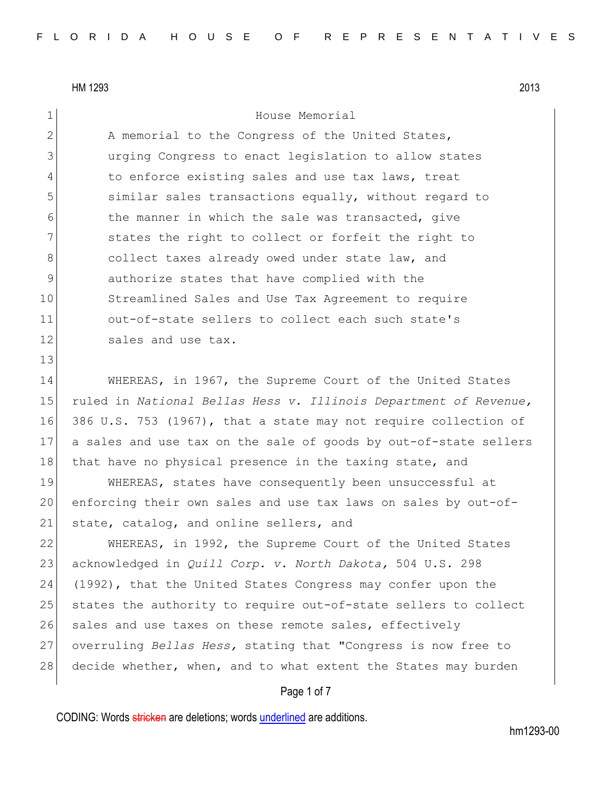| $\mathbf 1$    | House Memorial                                                    |
|----------------|-------------------------------------------------------------------|
| $\mathbf{2}$   | A memorial to the Congress of the United States,                  |
| 3              | urging Congress to enact legislation to allow states              |
| $\overline{4}$ | to enforce existing sales and use tax laws, treat                 |
| 5              | similar sales transactions equally, without regard to             |
| 6              | the manner in which the sale was transacted, give                 |
| 7              | states the right to collect or forfeit the right to               |
| $8\,$          | collect taxes already owed under state law, and                   |
| $\mathsf 9$    | authorize states that have complied with the                      |
| 10             | Streamlined Sales and Use Tax Agreement to require                |
| 11             | out-of-state sellers to collect each such state's                 |
| 12             | sales and use tax.                                                |
| 13             |                                                                   |
| 14             | WHEREAS, in 1967, the Supreme Court of the United States          |
| 15             | ruled in National Bellas Hess v. Illinois Department of Revenue,  |
| 16             | 386 U.S. 753 (1967), that a state may not require collection of   |
| 17             | a sales and use tax on the sale of goods by out-of-state sellers  |
| 18             | that have no physical presence in the taxing state, and           |
| 19             | WHEREAS, states have consequently been unsuccessful at            |
| 20             | enforcing their own sales and use tax laws on sales by out-of-    |
| 21             | state, catalog, and online sellers, and                           |
| 22             | WHEREAS, in 1992, the Supreme Court of the United States          |
| 23             | acknowledged in <i>Quill Corp. v. North Dakota</i> , 504 U.S. 298 |
| 24             | (1992), that the United States Congress may confer upon the       |
| 25             | states the authority to require out-of-state sellers to collect   |
| 26             | sales and use taxes on these remote sales, effectively            |
| 27             | overruling Bellas Hess, stating that "Congress is now free to     |
| 28             | decide whether, when, and to what extent the States may burden    |
|                |                                                                   |

# Page 1 of 7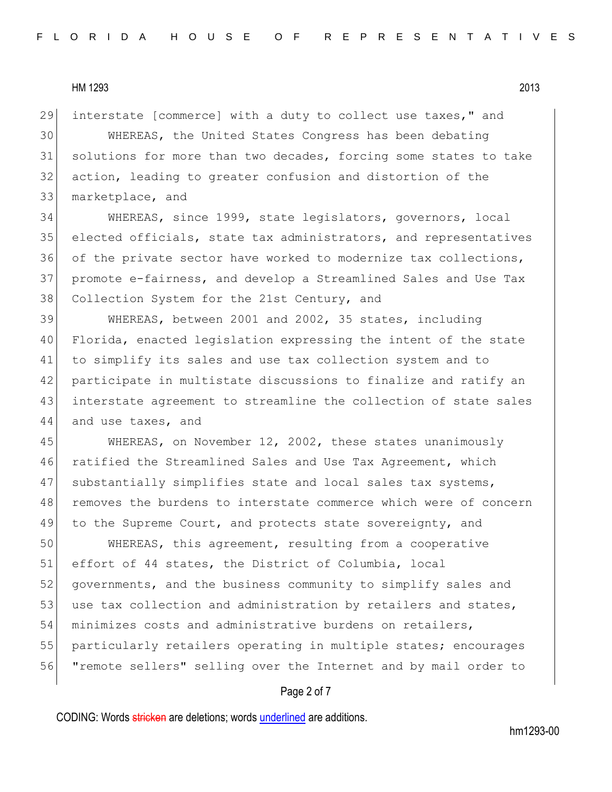29 interstate [commerce] with a duty to collect use taxes," and

 WHEREAS, the United States Congress has been debating solutions for more than two decades, forcing some states to take action, leading to greater confusion and distortion of the marketplace, and

34 WHEREAS, since 1999, state legislators, governors, local 35 elected officials, state tax administrators, and representatives 36 of the private sector have worked to modernize tax collections, 37 promote e-fairness, and develop a Streamlined Sales and Use Tax 38 Collection System for the 21st Century, and

 WHEREAS, between 2001 and 2002, 35 states, including Florida, enacted legislation expressing the intent of the state to simplify its sales and use tax collection system and to participate in multistate discussions to finalize and ratify an interstate agreement to streamline the collection of state sales 44 and use taxes, and

45 WHEREAS, on November 12, 2002, these states unanimously 46 ratified the Streamlined Sales and Use Tax Agreement, which 47 substantially simplifies state and local sales tax systems, 48 removes the burdens to interstate commerce which were of concern 49 to the Supreme Court, and protects state sovereignty, and

50 WHEREAS, this agreement, resulting from a cooperative 51 effort of 44 states, the District of Columbia, local 52 governments, and the business community to simplify sales and 53 use tax collection and administration by retailers and states, 54 minimizes costs and administrative burdens on retailers, 55 particularly retailers operating in multiple states; encourages 56 "remote sellers" selling over the Internet and by mail order to

# Page 2 of 7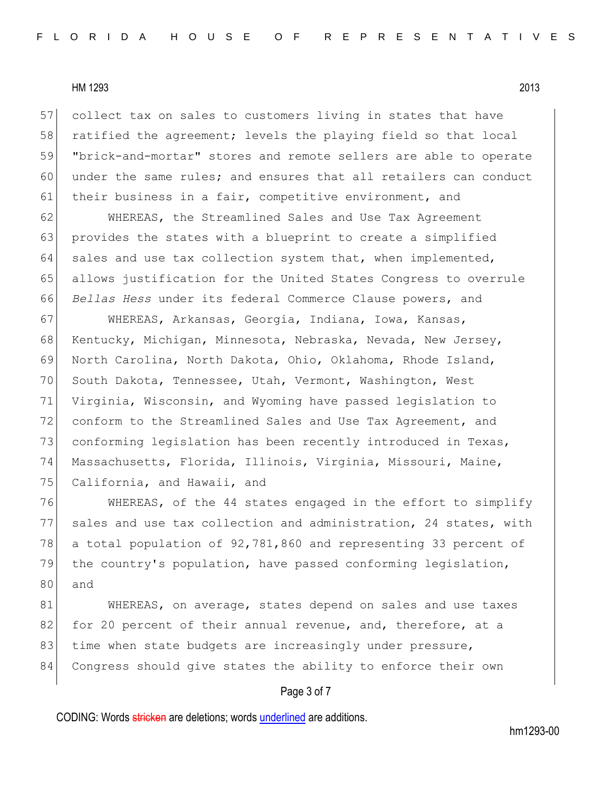57 collect tax on sales to customers living in states that have 58 ratified the agreement; levels the playing field so that local 59 "brick-and-mortar" stores and remote sellers are able to operate 60 under the same rules; and ensures that all retailers can conduct 61 their business in a fair, competitive environment, and

62 WHEREAS, the Streamlined Sales and Use Tax Agreement 63 provides the states with a blueprint to create a simplified 64 sales and use tax collection system that, when implemented, 65 allows justification for the United States Congress to overrule 66 *Bellas Hess* under its federal Commerce Clause powers, and

67 WHEREAS, Arkansas, Georgia, Indiana, Iowa, Kansas, 68 Kentucky, Michigan, Minnesota, Nebraska, Nevada, New Jersey, 69 North Carolina, North Dakota, Ohio, Oklahoma, Rhode Island, 70 South Dakota, Tennessee, Utah, Vermont, Washington, West 71 Virginia, Wisconsin, and Wyoming have passed legislation to 72 conform to the Streamlined Sales and Use Tax Agreement, and 73 conforming legislation has been recently introduced in Texas, 74 Massachusetts, Florida, Illinois, Virginia, Missouri, Maine, 75 California, and Hawaii, and

76 WHEREAS, of the 44 states engaged in the effort to simplify 77 sales and use tax collection and administration, 24 states, with 78 a total population of 92,781,860 and representing 33 percent of 79 the country's population, have passed conforming legislation, 80 and

81 WHEREAS, on average, states depend on sales and use taxes 82 for 20 percent of their annual revenue, and, therefore, at a 83 time when state budgets are increasingly under pressure, 84 Congress should give states the ability to enforce their own

# Page 3 of 7

CODING: Words stricken are deletions; words underlined are additions.

hm1293-00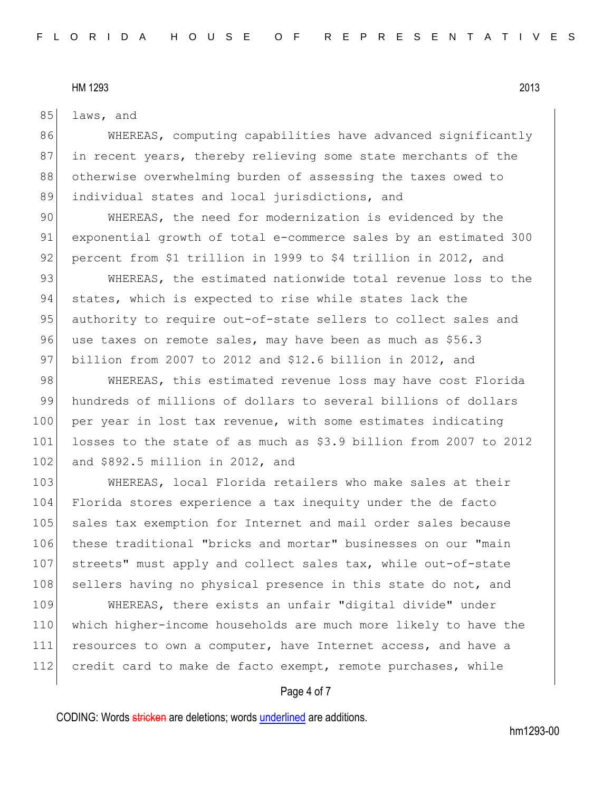85 laws, and

86 WHEREAS, computing capabilities have advanced significantly 87 in recent years, thereby relieving some state merchants of the 88 otherwise overwhelming burden of assessing the taxes owed to 89 individual states and local jurisdictions, and

90 WHEREAS, the need for modernization is evidenced by the 91 exponential growth of total e-commerce sales by an estimated 300 92 percent from \$1 trillion in 1999 to \$4 trillion in 2012, and

93 WHEREAS, the estimated nationwide total revenue loss to the 94 states, which is expected to rise while states lack the 95 authority to require out-of-state sellers to collect sales and 96 use taxes on remote sales, may have been as much as \$56.3 97 billion from 2007 to 2012 and \$12.6 billion in 2012, and

98 WHEREAS, this estimated revenue loss may have cost Florida 99 hundreds of millions of dollars to several billions of dollars 100 per year in lost tax revenue, with some estimates indicating 101 losses to the state of as much as \$3.9 billion from 2007 to 2012 102 and \$892.5 million in 2012, and

103 WHEREAS, local Florida retailers who make sales at their 104 Florida stores experience a tax inequity under the de facto 105 sales tax exemption for Internet and mail order sales because 106 these traditional "bricks and mortar" businesses on our "main 107 streets" must apply and collect sales tax, while out-of-state 108 sellers having no physical presence in this state do not, and

109 WHEREAS, there exists an unfair "digital divide" under 110 which higher-income households are much more likely to have the 111 resources to own a computer, have Internet access, and have a 112 credit card to make de facto exempt, remote purchases, while

# Page 4 of 7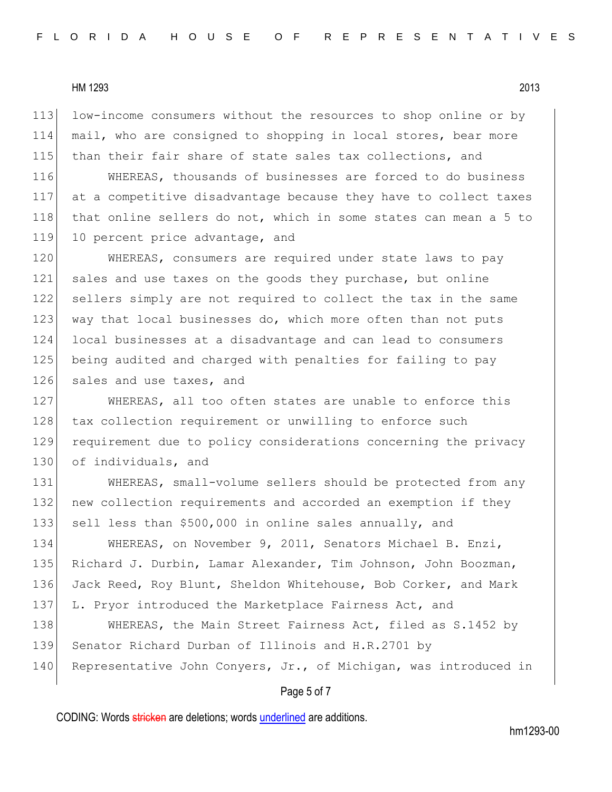113 low-income consumers without the resources to shop online or by 114 mail, who are consigned to shopping in local stores, bear more 115 than their fair share of state sales tax collections, and

116 WHEREAS, thousands of businesses are forced to do business 117 at a competitive disadvantage because they have to collect taxes 118 that online sellers do not, which in some states can mean a 5 to 119 10 percent price advantage, and

120 WHEREAS, consumers are required under state laws to pay 121 sales and use taxes on the goods they purchase, but online 122 sellers simply are not required to collect the tax in the same 123 way that local businesses do, which more often than not puts 124 local businesses at a disadvantage and can lead to consumers 125 being audited and charged with penalties for failing to pay 126 sales and use taxes, and

127 WHEREAS, all too often states are unable to enforce this 128 tax collection requirement or unwilling to enforce such 129 requirement due to policy considerations concerning the privacy 130 of individuals, and

131 WHEREAS, small-volume sellers should be protected from any 132 new collection requirements and accorded an exemption if they 133 sell less than \$500,000 in online sales annually, and

134 WHEREAS, on November 9, 2011, Senators Michael B. Enzi, 135 Richard J. Durbin, Lamar Alexander, Tim Johnson, John Boozman, 136 Jack Reed, Roy Blunt, Sheldon Whitehouse, Bob Corker, and Mark 137 L. Pryor introduced the Marketplace Fairness Act, and 138 WHEREAS, the Main Street Fairness Act, filed as S.1452 by 139 Senator Richard Durban of Illinois and H.R.2701 by 140 Representative John Conyers, Jr., of Michigan, was introduced in

### Page 5 of 7

CODING: Words stricken are deletions; words underlined are additions.

hm1293-00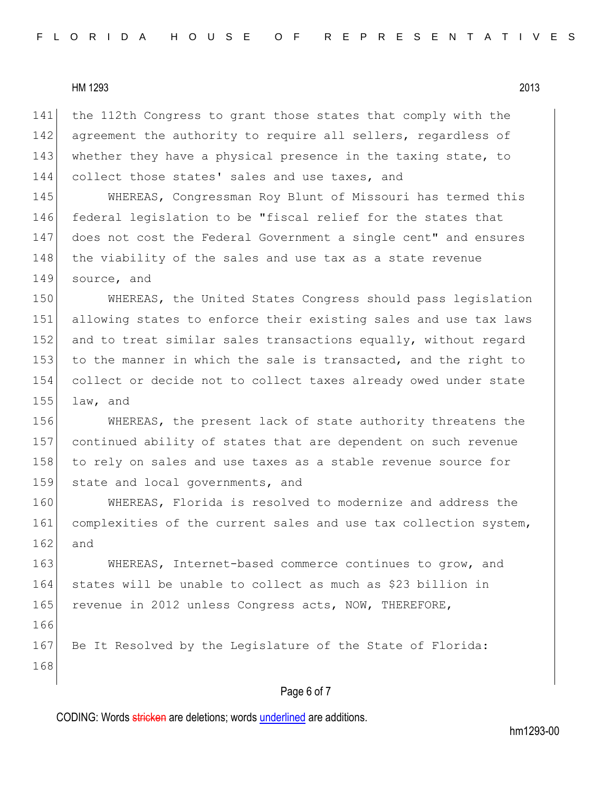141 the 112th Congress to grant those states that comply with the 142 agreement the authority to require all sellers, regardless of 143 whether they have a physical presence in the taxing state, to 144 collect those states' sales and use taxes, and

 WHEREAS, Congressman Roy Blunt of Missouri has termed this federal legislation to be "fiscal relief for the states that does not cost the Federal Government a single cent" and ensures 148 the viability of the sales and use tax as a state revenue source, and

150 WHEREAS, the United States Congress should pass legislation 151 allowing states to enforce their existing sales and use tax laws 152 and to treat similar sales transactions equally, without regard 153 to the manner in which the sale is transacted, and the right to 154 collect or decide not to collect taxes already owed under state  $155$  law, and

156 WHEREAS, the present lack of state authority threatens the 157 continued ability of states that are dependent on such revenue 158 to rely on sales and use taxes as a stable revenue source for 159 state and local governments, and

160 WHEREAS, Florida is resolved to modernize and address the 161 complexities of the current sales and use tax collection system, 162 and

163 WHEREAS, Internet-based commerce continues to grow, and 164 states will be unable to collect as much as \$23 billion in 165 revenue in 2012 unless Congress acts, NOW, THEREFORE, 166 167 Be It Resolved by the Legislature of the State of Florida:

# 168

# Page 6 of 7